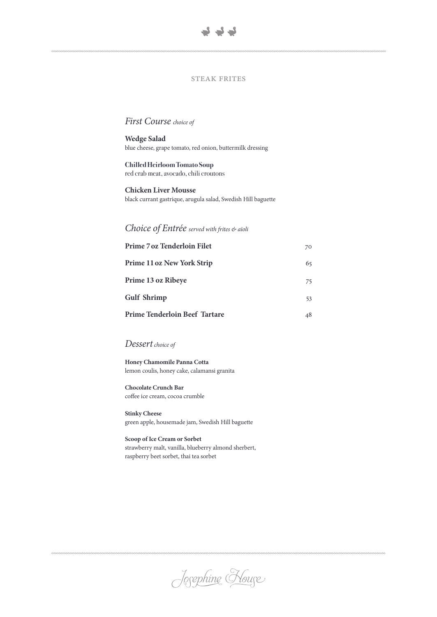

### steak frites

## *First Course choice of*

**Wedge Salad**  blue cheese, grape tomato, red onion, buttermilk dressing

**Chilled Heirloom Tomato Soup** red crab meat, avocado, chili croutons

**Chicken Liver Mousse** black currant gastrique, arugula salad, Swedish Hill baguette

*Choice of Entrée served with frites & aïoli*

| Prime 7 oz Tenderloin Filet       | 70 |
|-----------------------------------|----|
| <b>Prime 11 oz New York Strip</b> | 65 |
| Prime 13 oz Ribeye                | 75 |
| <b>Gulf Shrimp</b>                | 53 |
| Prime Tenderloin Beef Tartare     |    |

## Dessert choice of

**Honey Chamomile Panna Cotta** lemon coulis, honey cake, calamansi granita

**Chocolate Crunch Bar** coffee ice cream, cocoa crumble

**Stinky Cheese** green apple, housemade jam, Swedish Hill baguette

**Scoop of Ice Cream or Sorbet**  strawberry malt, vanilla, blueberry almond sherbert, raspberry beet sorbet, thai tea sorbet

Josephine House